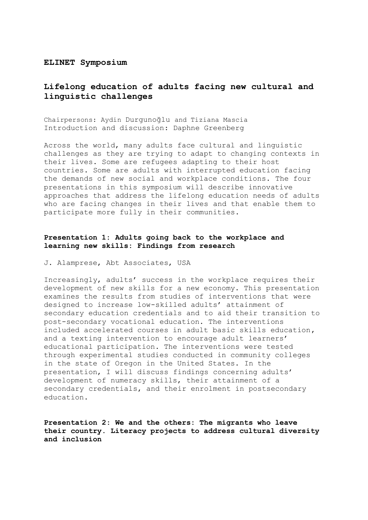#### **ELINET Symposium**

# **Lifelong education of adults facing new cultural and linguistic challenges**

Chairpersons: Aydin Durgunoğlu and Tiziana Mascia Introduction and discussion: Daphne Greenberg

Across the world, many adults face cultural and linguistic challenges as they are trying to adapt to changing contexts in their lives. Some are refugees adapting to their host countries. Some are adults with interrupted education facing the demands of new social and workplace conditions. The four presentations in this symposium will describe innovative approaches that address the lifelong education needs of adults who are facing changes in their lives and that enable them to participate more fully in their communities.

### **Presentation 1: Adults going back to the workplace and learning new skills: Findings from research**

J. Alamprese, Abt Associates, USA

Increasingly, adults' success in the workplace requires their development of new skills for a new economy. This presentation examines the results from studies of interventions that were designed to increase low-skilled adults' attainment of secondary education credentials and to aid their transition to post-secondary vocational education. The interventions included accelerated courses in adult basic skills education, and a texting intervention to encourage adult learners' educational participation. The interventions were tested through experimental studies conducted in community colleges in the state of Oregon in the United States. In the presentation, I will discuss findings concerning adults' development of numeracy skills, their attainment of a secondary credentials, and their enrolment in postsecondary education.

**Presentation 2: We and the others: The migrants who leave their country. Literacy projects to address cultural diversity and inclusion**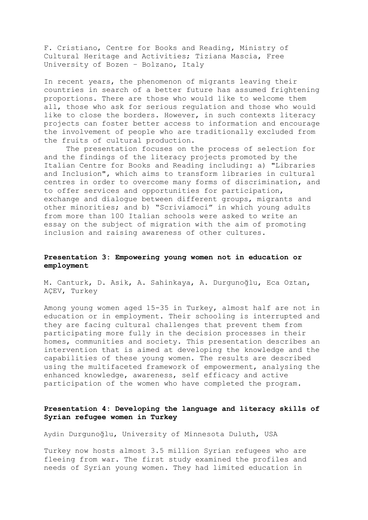F. Cristiano, Centre for Books and Reading, Ministry of Cultural Heritage and Activities; Tiziana Mascia, Free University of Bozen – Bolzano, Italy

In recent years, the phenomenon of migrants leaving their countries in search of a better future has assumed frightening proportions. There are those who would like to welcome them all, those who ask for serious regulation and those who would like to close the borders. However, in such contexts literacy projects can foster better access to information and encourage the involvement of people who are traditionally excluded from the fruits of cultural production.

The presentation focuses on the process of selection for and the findings of the literacy projects promoted by the Italian Centre for Books and Reading including: a) "Libraries and Inclusion", which aims to transform libraries in cultural centres in order to overcome many forms of discrimination, and to offer services and opportunities for participation, exchange and dialogue between different groups, migrants and other minorities; and b) "Scriviamoci" in which young adults from more than 100 Italian schools were asked to write an essay on the subject of migration with the aim of promoting inclusion and raising awareness of other cultures.

#### **Presentation 3: Empowering young women not in education or employment**

M. Canturk, D. Asik, A. Sahinkaya, A. Durgunoğlu, Eca Oztan, AÇEV, Turkey

Among young women aged 15-35 in Turkey, almost half are not in education or in employment. Their schooling is interrupted and they are facing cultural challenges that prevent them from participating more fully in the decision processes in their homes, communities and society. This presentation describes an intervention that is aimed at developing the knowledge and the capabilities of these young women. The results are described using the multifaceted framework of empowerment, analysing the enhanced knowledge, awareness, self efficacy and active participation of the women who have completed the program.

## **Presentation 4: Developing the language and literacy skills of Syrian refugee women in Turkey**

Aydin Durgunoğlu, University of Minnesota Duluth, USA

Turkey now hosts almost 3.5 million Syrian refugees who are fleeing from war. The first study examined the profiles and needs of Syrian young women. They had limited education in